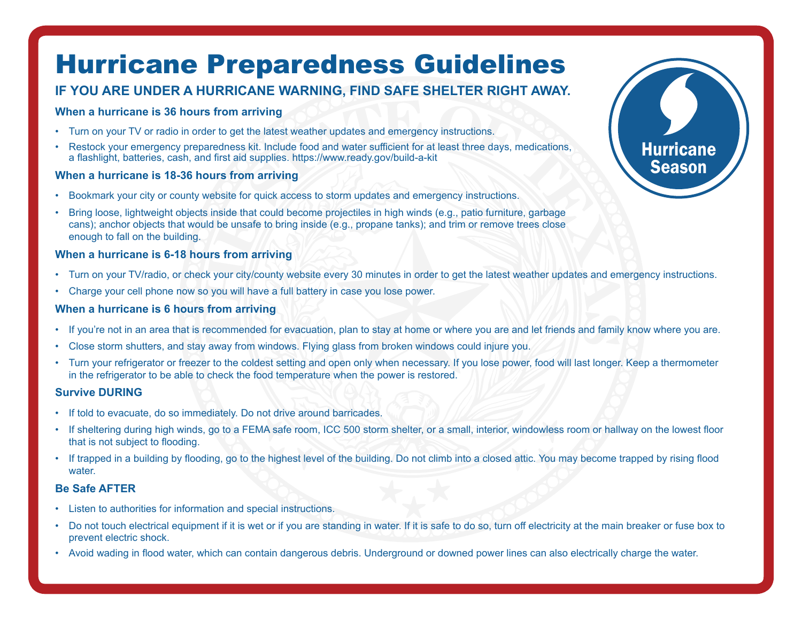# Hurricane Preparedness Guidelines

## **IF YOU ARE UNDER A HURRICANE WARNING, FIND SAFE SHELTER RIGHT AWAY.**

### **When a hurricane is 36 hours from arriving**

- Turn on your TV or radio in order to get the latest weather updates and emergency instructions.
- Restock your emergency preparedness kit. Include food and water sufficient for at least three days, medications, a flashlight, batteries, cash, and first aid supplies. <https://www.ready.gov/build-a-kit>

### **When a hurricane is 18-36 hours from arriving**

- Bookmark your city or county website for quick access to storm updates and emergency instructions.
- Bring loose, lightweight objects inside that could become projectiles in high winds (e.g., patio furniture, garbage cans); anchor objects that would be unsafe to bring inside (e.g., propane tanks); and trim or remove trees close enough to fall on the building.

### **When a hurricane is 6-18 hours from arriving**

- Turn on your TV/radio, or check your city/county website every 30 minutes in order to get the latest weather updates and emergency instructions.
- Charge your cell phone now so you will have a full battery in case you lose power.

### **When a hurricane is 6 hours from arriving**

- If you're not in an area that is recommended for evacuation, plan to stay at home or where you are and let friends and family know where you are.
- Close storm shutters, and stay away from windows. Flying glass from broken windows could injure you.
- Turn your refrigerator or freezer to the coldest setting and open only when necessary. If you lose power, food will last longer. Keep a thermometer in the refrigerator to be able to check the food temperature when the power is restored.

### **Survive DURING**

- If told to evacuate, do so immediately. Do not drive around barricades.
- If sheltering during high winds, go to a FEMA safe room, ICC 500 storm shelter, or a small, interior, windowless room or hallway on the lowest floor that is not subject to flooding.
- If trapped in a building by flooding, go to the highest level of the building. Do not climb into a closed attic. You may become trapped by rising flood water.

### **Be Safe AFTER**

- Listen to authorities for information and special instructions.
- Do not touch electrical equipment if it is wet or if you are standing in water. If it is safe to do so, turn off electricity at the main breaker or fuse box to prevent electric shock.
- Avoid wading in flood water, which can contain dangerous debris. Underground or downed power lines can also electrically charge the water.